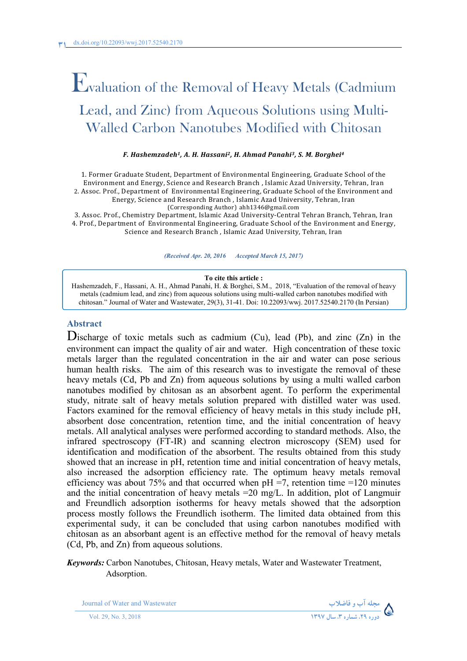# Evaluation of the Removal of Heavy Metals (Cadmium Lead, and Zinc) from Aqueous Solutions using Multi-Walled Carbon Nanotubes Modified with Chitosan

#### *F. Hashemzadeh1, A. H. Hassani2, H. Ahmad Panahi3, S. M. Borghei4*

1. Former Graduate Student, Department of Environmental Engineering, Graduate School of the EnvironmentandEnergy,ScienceandResearchBranch,IslamicAzadUniversity,Tehran,Iran 2. Assoc. Prof., Department of Environmental Engineering, Graduate School of the Environment and Energy, Science and Research Branch, Islamic Azad University, Tehran, Iran (Corresponding Author) ahh1346@gmail.com

3. Assoc. Prof., Chemistry Department, Islamic Azad University-Central Tehran Branch, Tehran, Iran 4. Prof., Department of Environmental Engineering, Graduate School of the Environment and Energy, Science and Research Branch, Islamic Azad University, Tehran, Iran

*(Received Apr. 20, 2016 Accepted March 15, 2017)*

#### **To cite this article :**

Hashemzadeh, F., Hassani, A. H., Ahmad Panahi, H. & Borghei, S.M., 2018, "Evaluation of the removal of heavy metals (cadmium lead, and zinc) from aqueous solutions using multi-walled carbon nanotubes modified with chitosan." Journal of Water and Wastewater, 29(3), 31-41. Doi: 10.22093/wwj. 2017.52540.2170 (In Persian)

#### **Abstract**

Discharge of toxic metals such as cadmium  $(Cu)$ , lead  $(Pb)$ , and zinc  $(Zn)$  in the environment can impact the quality of air and water. High concentration of these toxic metals larger than the regulated concentration in the air and water can pose serious human health risks. The aim of this research was to investigate the removal of these heavy metals (Cd, Pb and Zn) from aqueous solutions by using a multi walled carbon nanotubes modified by chitosan as an absorbent agent. To perform the experimental study, nitrate salt of heavy metals solution prepared with distilled water was used. Factors examined for the removal efficiency of heavy metals in this study include pH, absorbent dose concentration, retention time, and the initial concentration of heavy metals. All analytical analyses were performed according to standard methods. Also, the infrared spectroscopy (FT-IR) and scanning electron microscopy (SEM) used for identification and modification of the absorbent. The results obtained from this study showed that an increase in pH, retention time and initial concentration of heavy metals, also increased the adsorption efficiency rate. The optimum heavy metals removal efficiency was about 75% and that occurred when  $pH = 7$ , retention time =120 minutes and the initial concentration of heavy metals =20 mg/L. In addition, plot of Langmuir and Freundlich adsorption isotherms for heavy metals showed that the adsorption process mostly follows the Freundlich isotherm. The limited data obtained from this experimental sudy, it can be concluded that using carbon nanotubes modified with chitosan as an absorbant agent is an effective method for the removal of heavy metals (Cd, Pb, and Zn) from aqueous solutions.

*Keywords:* Carbon Nanotubes, Chitosan, Heavy metals, Water and Wastewater Treatment, Adsorption.

Journal of Water and Wastewater **-**



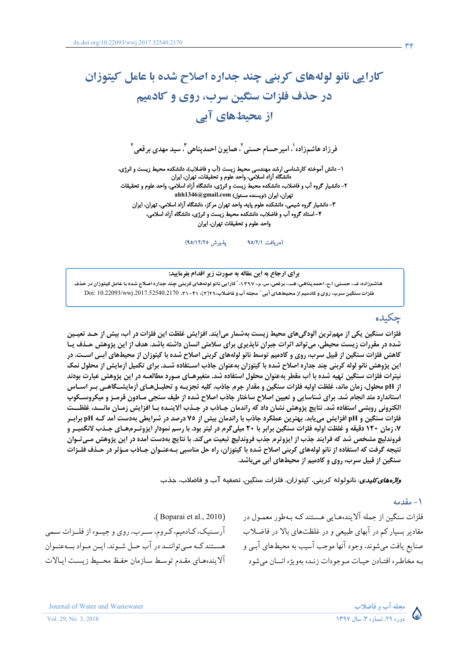## کارایی نانو لولههای کربنی چند جداره اصلاح شده با عامل کیتوزان در حذف فلزات سنگین سرب، روی و کادمیم از محیطهای آبی

فرزاد هاشمزاده`. امیرحسام حسنی<sup>۲</sup>. همایون احمدپناهی<sup>۳</sup>. سید مهدی برقعی<sup>۴</sup>

۱- دانش آموخته کارشناسی ارشد مهندسی محیط زیست (آب و فاضلاب)، دانشکده محیط زیست و انرژی، دانشگاه آزاد اسلامی، واحد علوم و تحقیقات، تهران، ایران ۲- دانشیار گروه آب و فاضلاب، دانشکده محیط زیست و انرژی، دانشگاه آزاد اسلامی، واحد علوم و تحقیقات تهران، ایران (نویسنده مسئول) ahh1346@gmail.com ۳- دانشیار گروه شیمی، دانشکده علوم پایه، واحد تهران مرکز، دانشگاه آزاد اسلامی، تهران، ایران ۴- استاد گروه آب و فاضلاب، دانشکده محیط زیست و انرژی، دانشگاه آزاد اسلامی، واحد علوم و تحقيقات تهران، ايران

> يذيرش ٩٥/١٢/٢٥) (دريافت ٩٥/٢/١

برای ارجاع به این مقاله به صورت زیر اقدام بفرمایید: هاشمزاده، ف،، حسنی، اج، احمدپناهی، هـــ.، برقعی، س. م.، ۱۳۹۷، ؒ کارایی نانو لولههای کربنی چند جداره اصلاح شده با عامل کیتوزان در حذف فلزات سنگین سرب، روی و کادمیم از محیطهای آبی " مجله آب و فاضلاب،٢١٩(٣)، ٢١-٣١. 2017.52540.2170.52540 Doi: 10.22093/wwj

چکیده

فلزات سنگین یکی از مهم ترین آلودگیهای محیط زیست بهشمار میآیند. افزایش غلظت این فلزات در آب، بیش از حـد تعیـین شده در مقررات زیست محیطی، می تواند اثرات جبران ناپذیری برای سلامتی انسان داشته باشد. هدف از این پژوهش حـذف یـا کاهش فلزات سنگین از قبیل سرب، روی و کادمیم توسط نانو لولههای کربنی اصلاح شده با کیتوزان از محیطهای اَبـی اسـت. در این پژوهش نانو لوله کربنی چند جداره اصلاح شده با کیتوزان بهعنوان جاذب اسـتفاده شــد. برای تکمیل اَزمایش از محلول نمک نیترات فلزات سنگین تهیه شده با أب مقطر بهعنوان محلول استفاده شد. متغیرهـای مـورد مطالعــه در این پژوهش عبارت بودند از pH محلول، زمان ماند، غلظت اولیه فلزات سنگین و مقدار جرم جاذب. کلیه تجزیــه و تحلیــلهــای أزمایشــگاهــی بــر اســاس استاندارد متد انجام شد. برای شناسایی و تعیین اصلاح ساختار جاذب اصلاح شده از طیف سنجی مـادون قرمـز و میکروسـکوپ الكتروني روبشي استفاده شد. نتايج پژوهش نشان داد كه راندمان جـاذب در جـذب آلاينــده بــا افزايش زمــان مانـــد، غلظـــت فلزات سنگین و pH افزایش مییابد. بهترین عملکرد جاذب با راندمان بیش از ۷۵ درصد در شرایطی بهدست آمد کـه pH برابـر ۷، زمان ۱۲۰ دقیقه و غلظت اولیه فلزات سنگین برابر با ۲۰ میلیگرم در لیتر بود. با رسم نمودار ایزوتـرمهـای جـذب لانگمیـر و فروندلیچ مشخص شد که فرایند جذب از ایزوترم جذب فروندلیچ تبعیت میکند. با نتایج بهدست آمده در این پژوهش مـیتـوان نتیجه گرفت که استفاده از نانو لولههای کربنی اصلاح شده با کیتوزان، راه حل مناسبی بــهعنــوان جــاذب مــؤثر در حــذف فلــزات سنگین از قبیل سرب، روی و کادمیم از محیطهای آبی میباشد.

*واژههای کلیدی*: نانولوله کربنی، کیتوزان، فلزات سنگین، تصفیه آب و فاضلاب، جذب

١ - مقدمه

فلزات سنگین از جمله آلایندههایی هستند کـه بـهطور معمـول در مقادیر بسیار کم در آبهای طبیعی و در غلظتهای بالا در فاضـلاب صنایع یافت میشوند. وجود آنها موجب آسیب به محیطهای آبـی و بـه مخاطـره افتـادن حيـات مـوجودات زنـده بهويژه انسان مى شود

.(Boparai et al., 2010). آرسنیک، کـادمیم، کـروم، ســرب، روي و جيــوه از فلــزات سـمي هستند کـه مـي تواننـد در آب حـل شـوند. ايـن مـواد بــهعنـوان آلايندههاي مقدم توسط سازمان حفظ محميط زيست ايالات



Journal of Water and Wastewater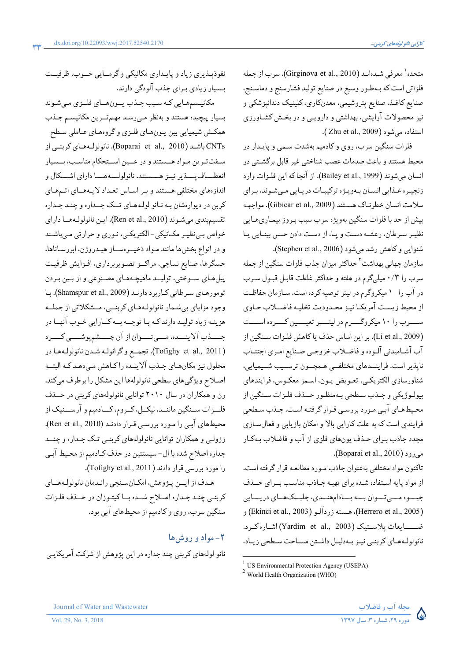نفوذيبذيري زياد و پايىدارى مكانيكى و گرمسايى خسوب، ظرفيست

مکانیسمهایی که سبب جـذب یـونهـای فلـزی مـیشوند

بسیار پیچیده هستند و بهنظر می رسد مهم تورین مکانیسم جلذب

همکنش شیمیایی بین پـونهـای فلـزی و گروههـای عـاملی سـطح

CNTs باشد (Boparai et al., 2010). نانولولـههـاي كربنـي از سفت ترین مـواد هــستند و در عــین اســتحکام مناسـب، بــسیار

انعطساف پسند پر نیـز هـــستند. نانولولـــههـــا داراي اشـــكال و

اندازههای مختلفی هستند و بـر اسـاس تعـداد لایـههــای اتـمهـای

کربن در دیوارهشان بـه نـانو لولـههـای تــک جــداره و چنـد جـداره

تقسيم بندي مي شـوند (Ren et al., 2010). ايـن نانولولـههــا داراي

خواص به نظیـر مکـانیکی-الکتریکـی، نـوری و حرارتی مـیباشـند

و در انواع بخشها مانند مـواد ذخيــرهســاز هيــدروژن، ابررسـاناها،

حسگرها، صنایع نساجی، مراکــز تصـویربرداری، افـزایش ظرفیـت

پیلهای سـوختی، تولیــد ماهیچـههـای مصـنوعی و از بـین بـردن

تومورهای سرطانی کاربرد دارند (Shamspur et al., 2009). با

وجود مزاياي بي شـمار نانولولـههـاي كربنــي، مــشكلاتي از جملــه

هزینـه زیاد تولیـد دارند کـه بـا توجــه بــه کــارایی خـوب آنهــا در جسـذب آلاينــده، مــيتــوان از آن چـــشمپوشـــي كـــرد

(Tofighy et al., 2011). تجمع وكرانولـه شـدن نانولولـههـا در محلول نیز مکانهای جـذب آلاینـده راکـاهش مـى،هـد کـه البتــه

اصلاح ویژگیهای سطحی نانولولهها این مشکل را برطرف میکند.

رن و همکاران در سال ۲۰۱۰ توانایی نانولولههای کربنی در حـذف

فلـزات سـنگین ماننـد، نیکـل، کـروم، کــادمیم و آرســنیک از

محیطهای آبی را مورد بررسی قرار دادند (Ren et al., 2010).

ززولبي و همکاران توانايي نانولولههاي کربنـي تـک جـداره و چنــد

جداره اصلاح شده با ال- سيستئين در حذف كـادميم از محـيط آبـي

هـدف از ايــن پـژوهش، امكـانسـنجي رانـدمان نانولولـههــاي

كربني چند جداره اصلاح شـده بـاكيتوزان در حـذف فلـزات

نانو لولههای کربنی چند جداره در این پژوهش از شرکت آمریکایی

را مورد بررسی قرار دادند (Tofighy et al., 2011).

سنگین سرب، روی و کادمیم از محیطهای آبی بود.

 $\mathbf{L}$ مواد و روش

بسیار زیادی برای جذب آلودگی دارند.

متحده' معرفي شـدهانـد (Girginova et al., 2010). سرب از جمله فلزاتي است كه بـهطـور وسيع در صنايع توليد فشارسنج و دماسـنج، صنايع كاغـذ، صنايع پتروشيمي، معدنكاري، كلينيک دندانپزشكي و نیز محصولات آرایشی، بهداشتی و دارویـی و در بخـش کشـاورزی استفاده می شود ( Zhu et al., 2009).

فلزات سنگین سرب، روی و کادمیم بهشدت سمی و پایـدار در محیط هستند و باعث صدمات عصب شناختی غیر قابل برگشتی در انسان مي شوند (Bailey et al., 1999). از آنجاكه اين فلزات وارد زنجيـره غـذايي انسـان بـهويـژه تركيبـات دريـايي مـيشـوند، بـراي سلامت انسان خطرنياك هستند (Gibicar et al., 2009). مواجهه بیش از حد با فلزات سنگین بهویژه سرب سبب بـروز بیمـاریهـایی نظيـر سـرطان، رعشـه دسـت و پـا، از دسـت دادن حـس بينـايي يـا شنوايي وكاهش رشد ميشود (Stephen et al., 2006).

سازمان جهانی بهداشت<sup>۲</sup> حداکثر میزان جذب فلزات سنگین از جمله سرب را ۰/۳ میلیگرم در هفته و حداکثر غلظت قابـل قبـول سـرب در آب را ١ ميكروگرم در ليتر توصيه كرده است. سـازمان حفاظـت از محيط زيست آمريكـا نيـز محـدوديت تخليـه فاضــلاب حـاوى ســـرب را ۱۰ میکروگـــرم در لیتـــر تعیـــین کـــرده اســـت (Li et al., 2009). بر اين اساس حذف يا كاهش فلـزات سـنگين از آب آشـامیدنی آلـوده و فاضـلاب خروجـی صـنایع امـری اجتنـاب نايذير است. فراينــدهاي مختلفــي هـمچــون ترســيب شــيميايي. شناورسازي الكتريكي، تعـويض يـون، اسـمز معكـوس، فرايندهاي بيولـوژيکي و جـذب سـطحي بـهمنظـور حــذف فلـزات سـنگين از محیطهای آبی مورد بررسی قرار گرفته است. جـذب سـطحی فرایندی است که به علت کارایی بالا و امکان بازیابی و فعال سازی مجدد جاذب بـراي حـذف يونهاي فلزي از آب و فاضلاب بـهكـار می دو د (Boparai et al., 2010).

تاكنون مواد مختلفي بهعنوان جاذب مـورد مطالعـه قرار گرفته است. از مواد پایه استفاده شده برای تهیه جاذب مناسب بوای حف جيسوه مسي تسوان بسه بسادام هندي، جلبكهاي دريسايي (Herrero et al., 2005)، هـسته زردآلـو (Ekinci et al., 2003) و ضــــايعات يلاســتيک (Yardim et al., 2003) اشـاره کــرد. نانولولـههـاي كربنـي نيـز بـهدليـل داشـتن مسـاحت سـطحى زيـاد،





 $1$  US Environmental Protection Agency (USEPA)

<sup>&</sup>lt;sup>2</sup> World Health Organization (WHO)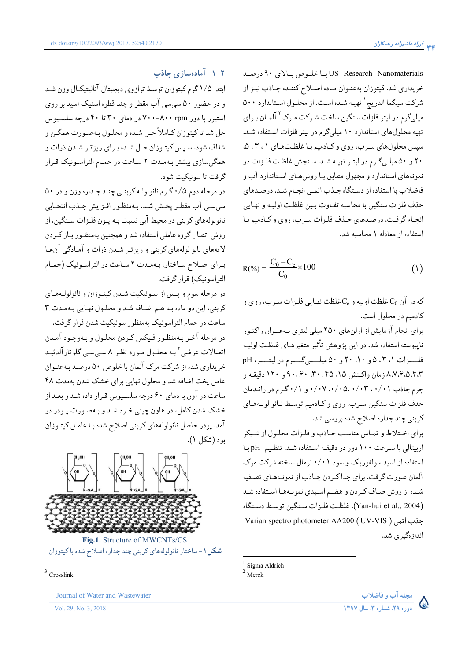US Research Nanomaterials با خلوص بالاي ٩٠ درصد خریداری شد. کیتوزان بهعنـوان مـاده اصـلاح کننـده جـاذب نیـز از شركت سيگما الدريج ` تهيه شده است. از محلول استاندارد ۵۰۰ میلیگرم در لیتر فلزات سنگین ساخت شـرکت مـرک<sup>۲</sup> آلمـان بـرای تهیه محلولهای استاندارد ۱۰ میلیگرم در لیتر فلزات استفاده شد. سپس محلولهای سرب، روی و کادمیم با غلظتهای ۰٫۳،۱٪ ۲۰ و ۵۰ میلهگرم در لیتر تهیه شد. سنجش غلظت فلزات در نمونههای استاندارد و مجهول مطابق بـا روش هـای اسـتاندارد آب و فاضلاب با استفاده از دستگاه جـذب اتمـي انجـام شـد. درصـدهاي حذف فلزات سنگین با محاسبه تفـاوت بـین غلظـت اولیـه و نهـایی انجام گرفت. درصدهای حذف فلزات سرب، روی و کادمیم با استفاده از معادله ۱ محاسبه شد.

$$
R(\% ) = \frac{C_0 - C_e}{C_0} \times 100
$$
 (1)

که در آن  $\mathrm{C}_0$  غلظت اولیه و  $\mathrm{C}_\mathrm{e}$ غلظت نهایی فلـزات سـرب، روی و كادميم در محلول است.

برای انجام آزمایش از ارلنهای ۲۵۰ میلی لیتری بهعنوان راکتور ناپیوسته استفاده شد. در این پژوهش تأثیر متغیرهـای غلظـت اولیـه فلسزات ۵۰ ، ۵ و ۲۰، ۲۰ و ۵۰ میلسهگسرم در لیتسر، pH ۸.۷.۶.۵.۴.۳ زمان واکـنش ۱۵. ۲۰.۴۵. ۹۰.۶۰ و ۱۲۰ دقیقـه و جرم جاذب ۰/۰۲٬۰/۰۴٬۰/۰۴٬۰/۰۴ و ۰/۱۱ گرم در رانـدمان حذف فلزات سنگین سـرب، روی و کـادمیم توسـط نـانو لولـههـای

برای اختلاط و تماس مناسب جاذب و فلزات محلول از شیکر اربیتالی با سرعت ١٠٠ دور در دقیقه استفاده شد. تنظیم pH با استفاده از اسید سولفوریک و سود ۰/۰۱ نرمال ساخته شرکت مرک آلمان صورت گرفت. برای جدا کـردن جـاذب از نمونـههـای تصـفیه شـده از روش صـاف كـردن و هضـم اسـيدي نمونـههـا اسـتفاده شـد (Yan-hui et al., 2004). غلظت فلزات سنكين توسط دستگاه Varian spectro photometer AA200 (UV-VIS ) جذب اتمى انداز ،گیری شد.

 $\overline{F}$ 

کربنی چند جداره اصلاح شده بررسی شد.

 $3$  Crosslink

## 1-1- آمادهسازی جاذب

ابتدا ۱/۵گرم کیتوزان توسط ترازوی دیجیتال آنالیتیکال وزن شد و در حضور ۵۰ سیسی آب مقطر و چند قطره استیک اسید بر روی استیرر با دور ۰٫۳pm -۸۰۰-۷۰۰ در دمای ۳۰ تا ۴۰ درجه سلسیوس حل شد تاكيتوزان كـاملاً حـل شـده و محلـول بـهصـورت همگـن و شفاف شود. سیس کیتوزان حـل شـده بـرای ریزتـر شـدن ذرات و همگنسازی بیشتر بهمدت ۲ ساعت در حمام التراسونیک قـرار گرفت تا سونيکيت شود.

dx.doi.org/10.22093/wwj.2017.52540.2170

در مرحله دوم ۰/۵ گـرم نانولولـه كربنـى چنـد جـداره وزن و در ۵۰ سي سي آب مقطر پخش شد. بـهمنظـور افـزايش جـذب انتخـابي نانولولههای کربنی در محیط آبی نسبت بـه پـون فلـزات سـنگین، از روش اتصال گروه عاملی استفاده شد و همچنین بهمنظور بـاز کـردن لايههاي نانو لولههاي كربني و ريزتر شدن ذرات و آمادگي آنها برای اصلاح ساختار، بهمدت ۲ ساعت در التراسونیک (حمام التراسونيک) قرار گرفت.

در مرحله سوم و پس از سونیکیت شدن کیتوزان و نانولولههای كربني، اين دو ماده به هم اضافه شد و محلول نهايي بهمدت ٣ ساعت در حمام التراسونيک بهمنظور سونيکيت شدن قرار گرفت. در مرحله آخر بـهمنظـور فـيكس كـردن محلـول و بـهوجـود آمـدن اتصالات عرضي " بـه محلـول مـورد نظـر ٨ سـيسـي گلوتارآلدئيـد خریداری شده از شرکت مرک آلمان با خلوص ۵۰ درصـد بـهعنـوان عامل پخت اضافه شد و محلول نهایی برای خشک شدن بهمدت ۴۸ ساعت در آون با دمای ۶۰ درجه سلسـیوس قـرار داده شـد و بعـد از خشک شدن کامل، در هاون چینی خـرد شـد و بـهصـورت پـودر در آمد. یو در حاصل نانولولههای کربنی اصلاح شده بـا عامـل کیتـوزان بود (شکل ۱).



شکل ۱- ساختار نانولولههای کربنی چند جداره اصلاح شده با کیتوزان





 $1$  Sigma Aldrich

Journal of Water and Wastewater

Vol. 29, No. 3, 2018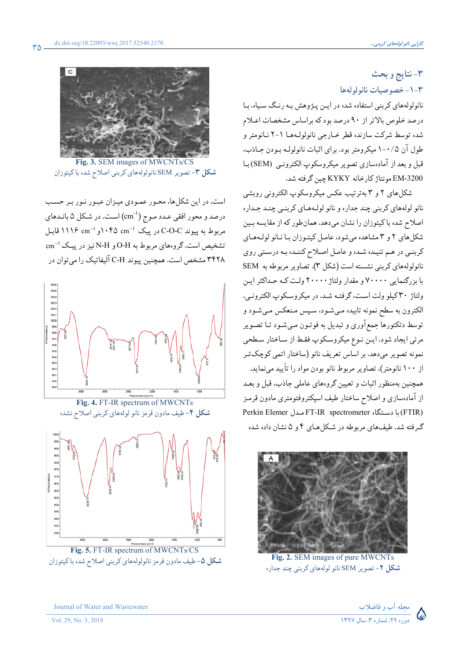## ٣-نتايج و بحث

٣-١-خصوصيات نانولولهها

نانولولههای کربنی استفاده شده در ایـن پـژوهش بـه رنـگ سـیاه، بـا درصد خلوص بالاتر از ۹۰ درصد بود که براساس مشخصات اعـلام شده توسط شركت سازنده قطر خبارجي نانولوليهها ١-٢ نبانومتر و طول آن ۰/۵-۱ میکرومتر بود. برای اثبات نانولولـه بـودن جـاذب. قبل و بعد از آمادهسازي تصوير ميكروسكوپ الكترونبي (SEM) بـا EM-3200 مونتاژ كارخانه KYKY چين گرفته شد.

شکل های ۲ و ۳ به ترتیب عکس میکروسکوپ الکترونی روبشی نانو لولههاي كربني چند جداره و نانو لولـههـاي كربنـي چنـد جـداره اصلاح شده با کیتوزان را نشان میدهد. همانطور که از مقایسه بین شکل های ۲ و ۳ مشاهده می شود، عامل کیتوزان با نبانو لول های کربنـي در هـم تنيـده شـده و عامـل اصـلاح کننـده بـه درسـتي روي نانولولههای کربنی نشسته است (شکل ۳). تصاویر مربوطه به SEM با بزرگنمایی ۷۰۰۰۰ و مقدار ولتاژ ۲۰۰۰۰ ولت کـه حـداکثر ایـن ولتاژ ٣٠ كيلو ولت است، گرفته شد. در ميكروسكوپ الكتروني، الکترون به سطح نمونه تابیده میشود، سپس مـنعکس مـیشـود و توسط دتکتورها جمع آوري و تبديل به فوتـون مـيشـود تـا تصـوير مرئي ايجاد شود. ايـن نـوع ميكروسكوپ فقـط از سـاختار سـطحي نمونه تصویر میدهد. بر اساس تعریف نانو (ساختار اتمی کوچک تـر از ۱۰۰ نانومتر)، تصاویر مربوط نانو بودن مواد را تأیید می;نماید. همچنین بهمنظور اثبات و تعیین گروههای عاملی جاذب، قبل و بعـد از آمادهسازی و اصلاح ساختار طیف اسپکتروفتومتری مادون قرمـز (FTIR) با دستگاه FT-IR spectrometer مدل FTIR) گ فقه شد. طبفهای مربوطه در شکل هیای ۴ و ۵ نشان داده شده



Fig. 2. SEM images of pure MWCNTs شکل ۲- تصویر SEM نانو لولههای کربنی چند جداره



Fig. 3. SEM images of MWCNTs/CS **شکل ۳**- تصویر SEM نانولولههای کربنی اصلاح شده باکیتوزان

است. در این شکلها، محـور عمـودي ميـزان عبـور نـور بـر حسـب درصد و محور افقی عـدد مـوج (cm<sup>-1</sup>) اسـت. در شـكل ۵ بانـدهای مربوط به پیوند C-O-C در پیک 14\* ۱۰۴۵ و 1۱۱۶ m= ۱۱۱۶ قابل تشخیص است.گروههای مربوط به O-H و N-H نیز در پیک cm $^{-1}$ ۳۴۲۸ مشخص است. همچنین پیوند C-H آلیفاتیک را می توان در



Fig. 5. FT-IR spectrum of MWCNTs/CS **شکل ۵**-طیف مادون قرمز نانولولههای کربنی اصلاح شده باکیتوزان

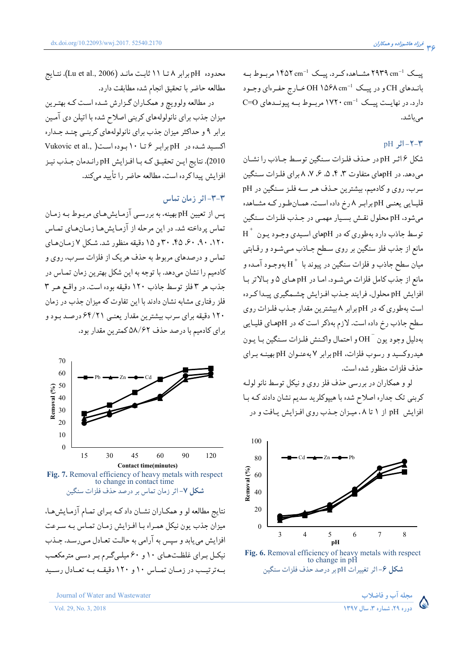ییـک 1°N۴۹ cm مشــاهده کــرد. پیــک 1°۴۵۲ cm مربــوط بــه بانـدهای CH و در پیـک OH ۱۵۶۸ cm<sup>-1</sup> خـارج حفـرهای وجـود دارد. در نهایـت پیـک 1×۰ cm مربـوط بـه پیونـدهای C=O مى باشد.

#### $pH = |t_1 + t_2|$ اثر

شكل ۶اثر pH در حذف فلزات سنگين توسط جـاذب را نشـان میدهد. در pHهای متفاوت ۳، ۴، ۵، ۶، ۸، ۸ برای فلزات سنگین سرب، روي و كادميم، بيشترين حـذف هـر سـه فلـز سـنگين در pH قلیـایی یعنـی pHبرابـر ۸رخ داده اسـت. همـانطـور کـه مشـاهده میشود، pH محلول نقش بسیار مهمی در جـذب فلـزات سـنگین  $\mathrm{H}^{+}$  توسط جاذب دارد بهطوري كه در pHهاي اسيدي وجـود يـون مانع از جذب فلز سنگین بر روی سطح جـاذب مـیشـود و رقـابتی میان سطح جاذب و فلزات سنگین در پیوند با  $\mathrm{H}^+$  بهوجـود آمـده و مانع از جذب كامل فلزات مي شـود. امـا در pH هـاي ۵ و بـالاتر بـا افزايش pH محلول، فرايند جـذب افـزايش چشـمگيري ييـداكرده است بهطوری که در pH برابر ۸ بیشترین مقدار جـذب فلـزات روی سطح جاذب رخ داده است. لازم بهذکر است که در pHهـاي قليـايي بهدليل وجود يون " OH و احتمال واكـنش فلـزات سـنگين بـا يـون هیدروکسید و رسوب فلزات، pH برابر ۷ بهعنـوان pH بهینـه بـرای حذف فلزات منظور شده است.

لو و همکاران در بررسی حذف فلز روی و نیکل توسط نانو لولـه کربنی تک جداره اصلاح شده با هیپوکلرید سدیم نشان دادند کـه بـا افزایش pH از ۱ تا ۰۸میزان جـذب روی افـزایش یـافت و در



Fig. 6. Removal efficiency of heavy metals with respect<br>to change in pH شكل ۶- اثر تغييرات pH بر درصد حذف فلزات سنگين

محدوده pH برابر ٨ تــا ١١ ثابت مانـد (Lu et al., 2006). نتـايج مطالعه حاضر با تحقيق انجام شده مطابقت دارد.

در مطالعه ولوويچ و همکـاران گـزارش شـده اسـت کـه بهتـرين میزان جذب برای نانولولههای کربنی اصلاح شده با اتیلن دی آمین برابر ۹ و حداکثر میزان جذب برای نانولولههای کربنـی چنـد جـداره اکسید شده در pH برابر ۶ تا ۱۰ بوده است( Vukovic et al., 2010). نتايج ايـن تحقيـق كـه بـا افـزايش pH رانـدمان جـذب نيـز افزایش پیدا کرده است، مطالعه حاضر را تأیید میکند.

### ٣-٣- اثر زمان تماس

پس از تعیین pH بهینه، به بررسـي آزمـایش،هـاي مربـوط بـه زمـان تماس پرداخته شد. در این مرحله از آزمایش هـا زمـانهـای تمـاس ١٢٠، ٩٠، ٤٠، ٣٥، ٣٠ و ١٥ دقيقه منظور شد. شكل ٧ زمان هاي تماس و درصدهای مربوط به حذف هریک از فلزات سـرب، روی و کادمیم را نشان میدهد. با توجه به این شکل بهترین زمان تمـاس در جذب هر ٣ فلز توسط جاذب ١٢٠ دقيقه بوده است. در واقع هـر ٣ فلز رفتاری مشابه نشان دادند با این تفاوت که میزان جذب در زمان ۱۲۰ دقیقه برای سرب بیشترین مقدار یعنبی ۶۴/۲۱ درصـد بـود و برای کادمیم با درصد حذف ۵۸/۶۲ کمترین مقدار بود.



نتایج مطالعه لو و همکـاران نشـان دادکـه بـرای تمـام آزمـایشهـا، میزان جذب یون نیکل همراه بـا افـزایش زمـان تمـاس بـه سـرعت افزايش مي يابد و سپس به آرامي به حالت تعـادل مـيرسـد. جـذب نیکیل بیرای غلظتههای ۱۰ و ۶۰ میله گیرم بیر دستی مترمکعب به ترتیب در زمـان تمـاس ۱۰ و ۱۲۰ دقیقـه بـه تعـادل رسـید

مجله آب و فاضلاب .<br>ده د ۲۹ م شمار و ۳، سال ۱۳۹۷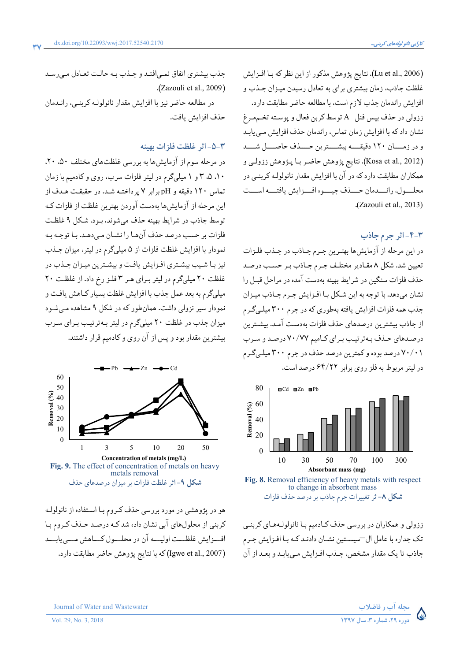(Lu et al., 2006). نتايج پژوهش مذكور از اين نظر كه بـا افـزايش غلظت جاذب، زمان بیشتری برای به تعادل رسیدن میـزان جـذب و افزايش راندمان جذب لازم است، با مطالعه حاضر مطابقت دارد. ززولي در حذف بيس فنل A توسط كربن فعال و پوسته تخممرغ نشان داد که با افزایش زمان تماس، راندمان حذف افزایش می یابد و در زمــان ١٢٠ دقيقــــه بيشــــترين حـــذف حاصـــل شـــد (Kosa et al., 2012). نتايج پژوهش حاضر بـا پـژوهش ززولـي و همکاران مطابقت دارد که در آن با افزایش مقدار نانولولـه کربنـی در محلسول، رانسدمان حسذف جيسوه افسزايش يافتسه اسست .(Zazouli et al., 2013).

## ٣-۴-اثر جرم جاذب

در این مرحله از آزمایش ها بهترین جرم جـاذب در جـذب فلـزات تعیین شد. شکل ۸ مقـادیر مختلـف جـرم جـاذب بـر حسـب درصـد حذف فلزات سنگین در شرایط بهینه بهدست آمده در مراحل قبـل را نشان میدهد. با توجه به این شکل با افـزایش جـرم جـاذب میـزان جذب همه فلزات افزایش یافته بهطوری که در جرم ۳۰۰ میله گرم از جاذب بیشترین درصدهای حذف فلزات بهدست آمـد. بیشـترین درصدهای حذف بهترتیب برای کامیم ۷۰/۷۷ درصد و سرب ۲۰/۰۱ درصد بوده و کمترین درصد حذف در جرم ۳۰۰ میلهگرم در ليتر مربوط به فلز روى براير ۶۴/۲۲ درصد است.



Fig. 8. Removal efficiency of heavy metals with respect to change in absorbent mass شکل ۸- ثر تغییرات جرم جاذب بر درصد حذف فلزات

ززولي و همکاران در بررسي حذف کـادميم بـا نانولولـههـاي کربنـي تک جداره با عامل ال—سیسـتین نشـان دادنـد کـه بـا افـزایش جـرم جاذب تا يک مقدار مشخص، جـذب افـزايش مـي يابـد و بعـد از آن



در مطالعه حاضر نیز با افزایش مقدار نانولولـه کربنـی، رانـدمان حذف افزایش بافت.

#### ٣-۵- اثر غلظت فلزات بهينه

در مرحله سوم از آزمایش ها به بررسی غلظتهای مختلف ۵۰، ۲۰، ۱۰، ۵، ۳ و ۱ میلیگرم در لیتر فلزات سرب، روی و کادمیم با زمان تماس ١٢٠ دقيقه و pHبرابر ٧ پرداختـه شـد. در حقيقـت هـدف از این مرحله از آزمایشها بهدست آوردن بهترین غلظت از فلزات کـه توسط جاذب در شرايط بهينه حذف مي شوند، بـود. شـكل ۹ غلظـت فلزات بر حسب درصد حذف آنها را نشـان مـىدهـد. بـا توجـه بـه نمودار با افزایش غلظت فلزات از ۵ میلیگرم در لیتر، میزان جـذب نیز با شیب بیشتری افزایش یافت و بیشترین میزان جذب در غلظت ٢٠ ميلي گرم در ليتر براي هر ٣ فلز رخ داد. از غلظت ٢٠ میلیگرم به بعد عمل جذب با افزایش غلظت بسیار کـاهش یافـت و نمودار سیر نزولی داشت. همانطور که در شکل ۹ مشاهده مـیشـود میزان جذب در غلظت ۲۰ میلیگرم در لیتر بـهترتیـب بـرای سـرب بیشترین مقدار بود و پس از آن روی و کادمیم قرار داشتند.



هو در پژوهشی در مورد بررسی حذف کـروم بـا اسـتفاده از نانولولـه کربنی از محلولهای آبی نشان داده شد کـه درصـد حـذف کـروم بـا افسزايش غلظــت اوليـــه آن در محلــول كــاهش مــي يابــد (Igwe et al., 2007) كه با نتايج پژوهش حاضر مطابقت دارد.



Journal of Water and Wastewater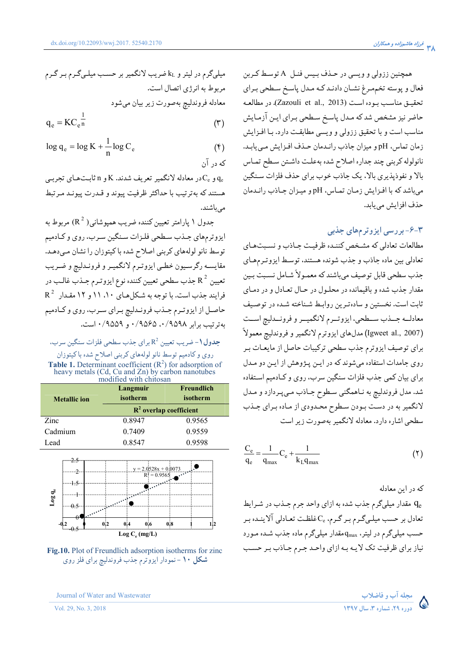همچنین ززولی و ویسی در حـذف بـیس فنـل A توسـط کـربن فعال و پوسته تخمهرغ نشـان دادنـد کـه مـدل پاسـخ سـطحي بـراي تحقيـق مناسـب بـوده اسـت (Zazouli et al., 2013). در مطالعـه حاضر نیز مشخص شد که مدل پاسخ سطحی بـرای ایـن آزمـایش مناسب است و با تحقیق ززولی و ویسی مطابقت دارد. بـا افـزایش زمان تماس، pH و ميزان جاذب رانـدمان حـذف افـزايش مـى يابـد. نانولوله كربني چند جداره اصلاح شده بهعلت داشتن سطح تماس بالا و نفوذيذيري بالا، يک جاذب خوب براي حذف فلزات سنگين مي باشد كه با افزايش زمان تماس، pH و ميزان جاذب رانـدمان حذف افزایش مے باید.

## ۴-۶-بررسی ایزوترمهای جذبی

مطالعات تعادلي كه مشخص كننـده ظرفيـت جـاذب و نسـبتهـاي تعادلي بين ماده جاذب و جذب شونده هستند، توسط ايزوترمهاي جذب سطحي قابل توصيف ميباشند كه معمـولاً شـامل نسـبت بـين مقدار جذب شده و باقیمانده در محلـول در حـال تعـادل و در دمـای ثابت است. نخستین و سادهترین روابط شـناخته شـده در توصـیف معادلـه جــذب ســطحى، ايزوتــرم لانگميــر و فرونــدليچ اســت (Igweet al., 2007) مدلهاي ايزوترم لانگمير و فروندليچ معمولاً برای توصیف ایزوترم جذب سطحی ترکیبات حاصل از مایعـات بـر روي جامدات استفاده مي شوند كه در ايـن پـژوهش از ايـن دو مـدل برای بیان کمی جذب فلزات سنگین سرب، روی و کـادمیم اسـتفاده شد. مدل فروندليچ به نـاهمگني سـطوح جـاذب مـيپـردازد و مـدل لانگمیر به در دست بودن سطوح محدودی از ماده برای جـذب سطحی اشاره دارد. معادله لانگمیر بهصورت زیر است

$$
\frac{C_e}{q_e} = \frac{1}{q_{max}} C_e + \frac{1}{k_L q_{max}}
$$
\n<sup>(\Upsilon)</sup>

که در این معادله ، مقدار میلیگرم جذب شده به ازای واحد جرم جـذب در شـرایط Q تعادل بر حسب میلـیگـرم بـر گـرم، یCونکـفـت تعـادلی آلاینـده بـر حسب میلیگرم در لیتر، q<sub>max</sub> مقدار میلیگرم ماده جذب شـده مـورد نیاز برای ظرفیت تک لایـه بـه ازای واحـد جـرم جـاذب بـر حسـب

$$
q_e = KC_e^{\ \ n} \tag{7}
$$

$$
\log q_e = \log K + \frac{1}{n} \log C_e \tag{4}
$$

و C<sub>e</sub> و C<sub>e</sub> در معادله لانگمیر تعریف شدند. K و n ثابتهای تجربهی هستند كه بهترتيب با حداكثر ظرفيت پيوند و قـدرت پيونـد مـرتبط مے باشند.

جدول ۱ يارامتر تعيين كننده ضريب هميوشاني ( R  $^{2}$ ) مربوط به ایزوترمهای جـذب سـطحي فلـزات سـنگين سـرب، روي و كـادميم توسط نانو لولههاي كربني اصلاح شده باكيتوزان را نشان مىدهـد. مقايسـه رگرسـيون خطـي ايزوتـرم لانگميـر و فرونـدليچ و ضـريب تعیین ° R جذب سطحی تعیین کننده نوع ایزوتـرم جـذب غالـب در  $R^2$  فرایند جذب است. با توجه به شکلهای ۱۱،۱۰ و ۱۲ مقدار حاصـل از ايزوتـرم جـذب فرونـدليچ بـراي سـرب، روي و كـادميم به ترتیب برابر ۰/۹۵۹۸ م ۰/۹۵۶۵ و ۰/۹۵۵۹ است.

جدول ١- ضريب تعيين 2<sup>2</sup> براي جذب سطحي فلزات سنگين سرب، روی و کادمیم توسط نانو لولههای کربنی اصلاح شده با کیتوزان **Table 1.** Determinant coefficient  $(R^2)$  for adsorption of heavy metals  $(Cd, Cu$  and  $Zn)$  by carbon nanotubes

| <b>Metallic</b> ion | Langmuir<br>isotherm      | <b>Freundlich</b><br>isotherm |
|---------------------|---------------------------|-------------------------------|
|                     | $R^2$ overlap coefficient |                               |
| Zinc                | 0.8947                    | 0.9565                        |
| Cadmium             | 0.7409                    | 0.9559                        |
| Lead                | 0.8547                    | 0.9598                        |



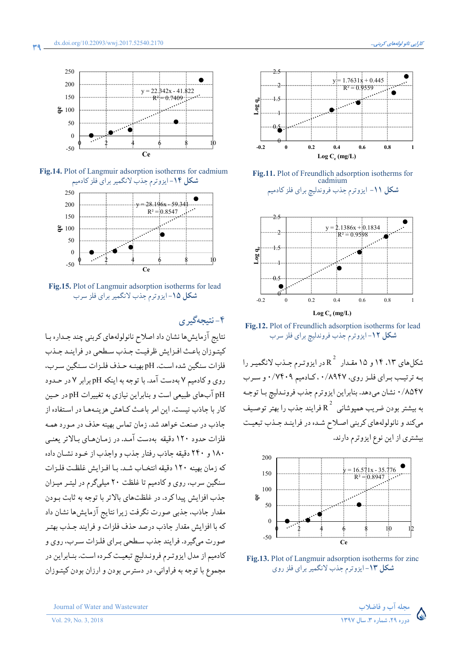

Fig.14. Plot of Langmuir adsorption isotherms for cadmium شکل ۱۴-ایزوترم جذب لانگمیر برای فلز کادمیم



Fig.15. Plot of Langmuir adsorption isotherms for lead شکل ۱۵-ایزوترم جذب لانگمیر برای فلز سرب

## ۴-نتيجەگېرى

نتايج آزمايش ها نشان داد اصلاح نانولولههاي كربني چند جـداره بـا كيتوزان باعث افـزايش ظرفيت جـذب سـطحى در فراينـد جـذب فلزات سنگین شده است. pH بهینیه حیذف فلیزات سینگین سیرب، روی و کادمیم ۷ بهدست آمد. با توجه به اینکه pH برابر ۷ در حـدود pH آبهای طبیعی است و بنابراین نیازی به تغییرات pH در حـین کار یا حاذب نیست. این امر باعث کیاهش هز بنیههیا در استفاده از جاذب در صنعت خواهد شد. زمان تماس بهینه حذف در مـورد همـه فلزات حدود ۱۲۰ دقیقه بهدست آمـد. در زمـانهـای بـالاتر یعنـی ۱۸۰ و ۲۴۰ دقیقه حاذب رفتار حذب و واحذب از خبود نشیان داده كه زمان بهينه ١٢٠ دقيقه انتخـاب شـد. بـا افـزايش غلظـت فلـزات سنگین سرب، روی و کادمیم تا غلظت ۲۰ میلیگرم در لیتـر میـزان جذب افزایش پیدا کرد. در غلظتهای بالاتر با توجه به ثابت بودن مقدار جاذب، جذبی صورت نگرفت زیرا نتایج آزمایش ها نشان داد كه با افزايش مقدار جاذب درصد حذف فلزات و فرايند جـذب بهتـر صورت مي گيرد. فرايند جذب سطحي بـراي فلـزات سـرب، روي و کادمیم از مدل ایزوترم فرونـدلیچ تبعیـت کـرده اسـت. بنـابراین در مجموع با توجه به فراواني، در دسترس بودن و ارزان بودن كيتـوزان



Fig.11. Plot of Freundlich adsorption isotherms for cadmium شکل ۱۱- ایزوترم جذب فروندلیچ برای فلز کادمیم



Fig.12. Plot of Freundlich adsorption isotherms for lead شکل ۱۲-ایزوترم جذب فروندلیچ برای فلز سرب

شکلهای ۱۳، ۱۴ و ۱۵ مقدار  $\mathrm{R}^{\,2}\,$  در ایزوترم جـذب لانگمیـر را به ترتیب برای فلز روی، ۰/۸۹۴۷ کادمیم ۰/۷۴۰۹ و سرب ۸۵۴۷/ ۰ نشان میدهد. بنابراین ایزوترم جذب فرونـدلیچ بـا توجـه به بیشتر بودن ضریب همپوشانی  $\,{\rm R}^{\,2}\,$  فرایند جذب را بهتر توصـیف میکند و نانولولههای کربنی اصلاح شده در فراینـد جـذب تبعیـت بیشتری از این نوع ایزوترم دارند.



Fig.13. Plot of Langmuir adsorption isotherms for zinc شکل ۱۳-ایزوترم جذب لانگمیر برای فلز روی



Journal of Water and Wastewater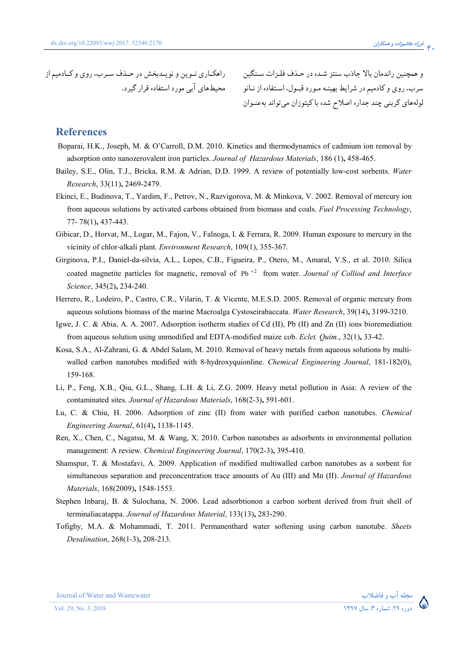راهکـاري نــوين و نويــدبخش در حــذف ســرب، روي و کــادميم از محیطهای ابی مورد استفاده قرار گیرد. و همچنین راندمان بالا جاذب سنتز شـده در حـذف فلـزات سـنگین سرب، روی و کادمیم در شرایط بهینـه مـورد قبـول، اسـتفاده از نـانو لولههای کربنی چند جداره اصلاح شده با کیتوزان میتواند بهعنـوان

#### **References**

- Boparai, H.K., Joseph, M. & O'Carroll, D.M. 2010. Kinetics and thermodynamics of cadmium ion removal by adsorption onto nanozerovalent iron particles. *Journal of Hazardous Materials*, 186 (1)**,** 458-465.
- Bailey, S.E., Olin, T.J., Bricka, R.M. & Adrian, D.D. 1999. A review of potentially low-cost sorbents. *Water Research*, 33(11)**,** 2469-2479.
- Ekinci, E., Budinova, T., Yardim, F., Petrov, N., Razvigorova, M. & Minkova, V. 2002. Removal of mercury ion from aqueous solutions by activated carbons obtained from biomass and coals. *Fuel Processing Technology*, 77- 78(1)**,** 437-443.
- Gibicar, D., Horvat, M., Logar, M., Fajon, V., Falnoga, I. & Ferrara, R. 2009. Human exposure to mercury in the vicinity of chlor-alkali plant. *Environment Research*, 109(1), 355-367.
- Girginova, P.I., Daniel-da-silvia, A.L., Lopes, C.B., Figueira, P., Otero, M., Amaral, V.S., et al. 2010. Silica coated magnetite particles for magnetic, removal of Pb<sup>+2</sup> from water. *Journal of Colliod and Interface Science*, 345(2)**,** 234-240.
- Herrero, R., Lodeiro, P., Castro, C.R., Vilarin, T. & Vicente, M.E.S.D. 2005. Removal of organic mercury from aqueous solutions biomass of the marine Macroalga Cystoseirabaccata. *Water Research*, 39(14)**,** 3199-3210.
- Igwe, J. C. & Abia, A. A. 2007. Adsorption isotherm studies of Cd (II), Pb (II) and Zn (II) ions bioremediation from aqueous solution using unmodified and EDTA-modified maize cob. *Eclet. Quím*., 32(1)**,** 33-42.
- Kosa, S.A., Al-Zahrani, G. & Abdel Salam, M. 2010. Removal of heavy metals from aqueous solutions by multiwalled carbon nanotubes modified with 8-hydroxyquionline. *Chemical Engineering Journal*, 181-182(0), 159-168.
- Li, P., Feng, X.B., Qiu, G.L., Shang, L.H. & Li, Z.G. 2009. Heavy metal pollution in Asia: A review of the contaminated sites. *Journal of Hazardous Materials*, 168(2-3)**,** 591-601.
- Lu, C. & Chiu, H. 2006. Adsorption of zinc (II) from water with purified carbon nanotubes. *Chemical Engineering Journal*, 61(4)**,** 1138-1145.
- Ren, X., Chen, C., Nagatsu, M. & Wang, X. 2010. Carbon nanotubes as adsorbents in environmental pollution management: A review. *Chemical Engineering Journal*, 170(2-3)**,** 395-410.
- Shamspur, T. & Mostafavi, A. 2009. Application of modified multiwalled carbon nanotubes as a sorbent for simultaneous separation and preconcentration trace amounts of Au (III) and Mn (II). *Journal of Hazardous Materials*, 168(2009)**,** 1548-1553.
- Stephen Inbaraj, B. & Sulochana, N. 2006. Lead adsorbtionon a carbon sorbent derived from fruit shell of terminaliacatappa. *Journal of Hazardous Material*, 133(13)**,** 283-290.
- Tofighy, M.A. & Mohammadi, T. 2011. Permanenthard water softening using carbon nanotube. *Sheets Desalination*, 268(1-3)**,** 208-213.



مجله اب و فاض